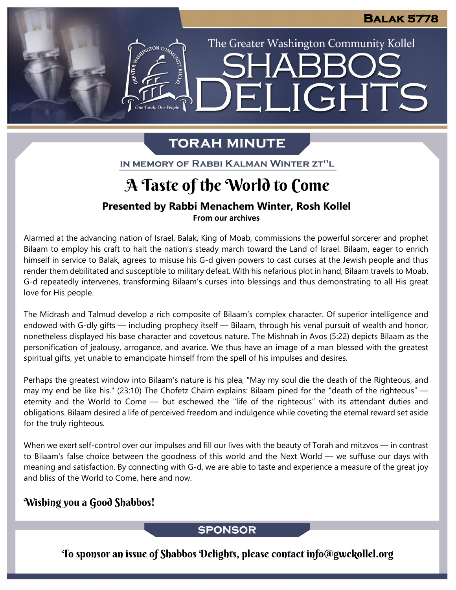The Greater Washington Community Kollel

ELIGHTS

## **TORAH MINUTE**

IN MEMORY OF RABBI KALMAN WINTER ZT"L

## A Taste of the World to Come

## **Presented by Rabbi Menachem Winter, Rosh Kollel**

**From our archives**

Alarmed at the advancing nation of Israel, Balak, King of Moab, commissions the powerful sorcerer and prophet Bilaam to employ his craft to halt the nation's steady march toward the Land of Israel. Bilaam, eager to enrich himself in service to Balak, agrees to misuse his G-d given powers to cast curses at the Jewish people and thus render them debilitated and susceptible to military defeat. With his nefarious plot in hand, Bilaam travels to Moab. G-d repeatedly intervenes, transforming Bilaam's curses into blessings and thus demonstrating to all His great love for His people.

The Midrash and Talmud develop a rich composite of Bilaam's complex character. Of superior intelligence and endowed with G-dly gifts — including prophecy itself — Bilaam, through his venal pursuit of wealth and honor, nonetheless displayed his base character and covetous nature. The Mishnah in Avos (5:22) depicts Bilaam as the personification of jealousy, arrogance, and avarice. We thus have an image of a man blessed with the greatest spiritual gifts, yet unable to emancipate himself from the spell of his impulses and desires.

Perhaps the greatest window into Bilaam's nature is his plea, "May my soul die the death of the Righteous, and may my end be like his." (23:10) The Chofetz Chaim explains: Bilaam pined for the "death of the righteous" eternity and the World to Come — but eschewed the "life of the righteous" with its attendant duties and obligations. Bilaam desired a life of perceived freedom and indulgence while coveting the eternal reward set aside for the truly righteous.

When we exert self-control over our impulses and fill our lives with the beauty of Torah and mitzvos — in contrast to Bilaam's false choice between the goodness of this world and the Next World — we suffuse our days with meaning and satisfaction. By connecting with G-d, we are able to taste and experience a measure of the great joy and bliss of the World to Come, here and now.

### Wishing you a Good Shabbos!

### **SPONSOR**

To sponsor an issue of Shabbos Delights, please contact info@gwckollel.org